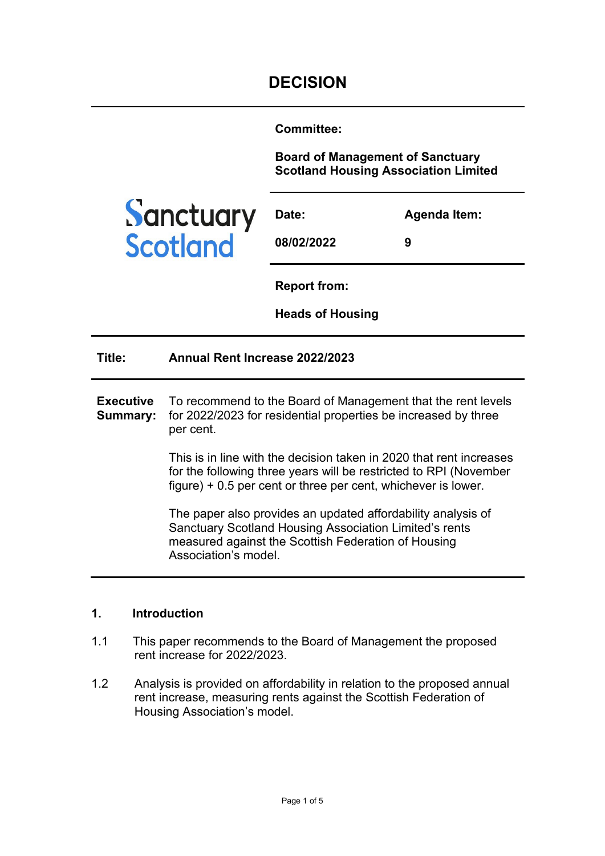**Committee:** 

**Board of Management of Sanctuary Scotland Housing Association Limited**



| Date:      | Agenda Item: |
|------------|--------------|
| 08/02/2022 | 9            |

**Report from:** 

**Heads of Housing**

| Title:                       | Annual Rent Increase 2022/2023                                                                                                                                                                               |
|------------------------------|--------------------------------------------------------------------------------------------------------------------------------------------------------------------------------------------------------------|
| <b>Executive</b><br>Summary: | To recommend to the Board of Management that the rent levels<br>for 2022/2023 for residential properties be increased by three<br>per cent.                                                                  |
|                              | This is in line with the decision taken in 2020 that rent increases<br>for the following three years will be restricted to RPI (November<br>$figure$ ) + 0.5 per cent or three per cent, whichever is lower. |
|                              | The paper also provides an updated affordability analysis of<br><b>Sanctuary Scotland Housing Association Limited's rents</b><br>measured against the Scottish Federation of Housing<br>Association's model. |

### **1. Introduction**

- 1.1 This paper recommends to the Board of Management the proposed rent increase for 2022/2023.
- 1.2 Analysis is provided on affordability in relation to the proposed annual rent increase, measuring rents against the Scottish Federation of Housing Association's model.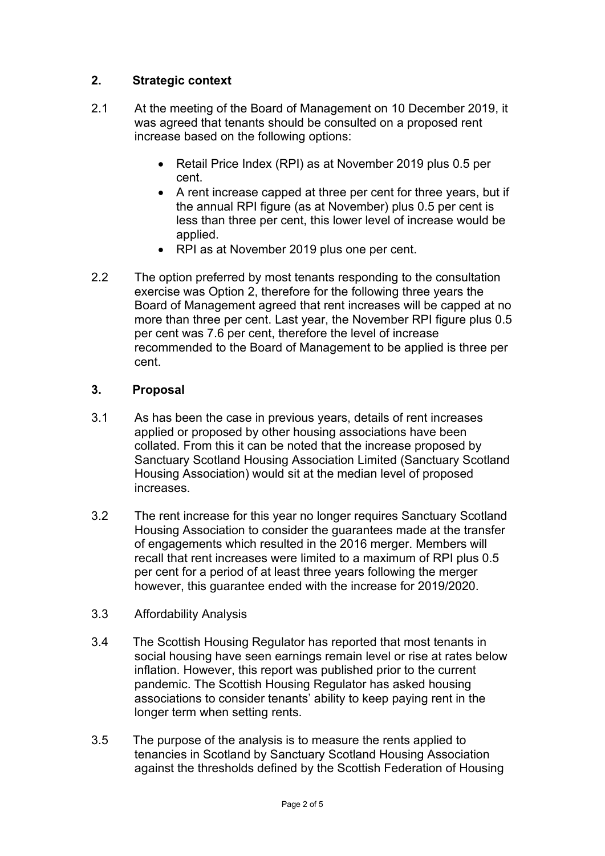# **2. Strategic context**

- 2.1 At the meeting of the Board of Management on 10 December 2019, it was agreed that tenants should be consulted on a proposed rent increase based on the following options:
	- Retail Price Index (RPI) as at November 2019 plus 0.5 per cent.
	- A rent increase capped at three per cent for three years, but if the annual RPI figure (as at November) plus 0.5 per cent is less than three per cent, this lower level of increase would be applied.
	- RPI as at November 2019 plus one per cent.
- 2.2 The option preferred by most tenants responding to the consultation exercise was Option 2, therefore for the following three years the Board of Management agreed that rent increases will be capped at no more than three per cent. Last year, the November RPI figure plus 0.5 per cent was 7.6 per cent, therefore the level of increase recommended to the Board of Management to be applied is three per cent.

## **3. Proposal**

- 3.1 As has been the case in previous years, details of rent increases applied or proposed by other housing associations have been collated. From this it can be noted that the increase proposed by Sanctuary Scotland Housing Association Limited (Sanctuary Scotland Housing Association) would sit at the median level of proposed increases.
- 3.2 The rent increase for this year no longer requires Sanctuary Scotland Housing Association to consider the guarantees made at the transfer of engagements which resulted in the 2016 merger. Members will recall that rent increases were limited to a maximum of RPI plus 0.5 per cent for a period of at least three years following the merger however, this guarantee ended with the increase for 2019/2020.
- 3.3 Affordability Analysis
- 3.4 The Scottish Housing Regulator has reported that most tenants in social housing have seen earnings remain level or rise at rates below inflation. However, this report was published prior to the current pandemic. The Scottish Housing Regulator has asked housing associations to consider tenants' ability to keep paying rent in the longer term when setting rents.
- 3.5 The purpose of the analysis is to measure the rents applied to tenancies in Scotland by Sanctuary Scotland Housing Association against the thresholds defined by the Scottish Federation of Housing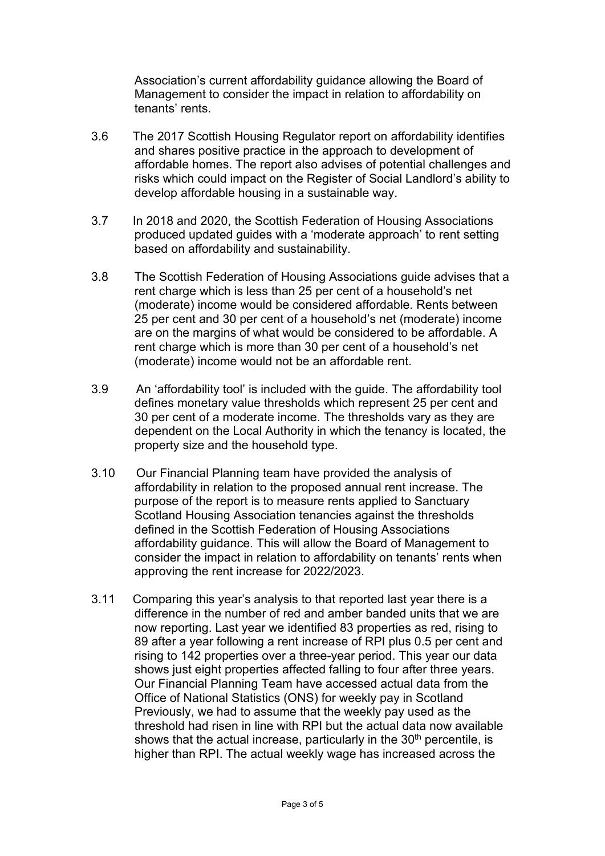Association's current affordability guidance allowing the Board of Management to consider the impact in relation to affordability on tenants' rents.

- 3.6 The 2017 Scottish Housing Regulator report on affordability identifies and shares positive practice in the approach to development of affordable homes. The report also advises of potential challenges and risks which could impact on the Register of Social Landlord's ability to develop affordable housing in a sustainable way.
- 3.7 In 2018 and 2020, the Scottish Federation of Housing Associations produced updated guides with a 'moderate approach' to rent setting based on affordability and sustainability.
- 3.8 The Scottish Federation of Housing Associations guide advises that a rent charge which is less than 25 per cent of a household's net (moderate) income would be considered affordable. Rents between 25 per cent and 30 per cent of a household's net (moderate) income are on the margins of what would be considered to be affordable. A rent charge which is more than 30 per cent of a household's net (moderate) income would not be an affordable rent.
- 3.9 An 'affordability tool' is included with the guide. The affordability tool defines monetary value thresholds which represent 25 per cent and 30 per cent of a moderate income. The thresholds vary as they are dependent on the Local Authority in which the tenancy is located, the property size and the household type.
- 3.10 Our Financial Planning team have provided the analysis of affordability in relation to the proposed annual rent increase. The purpose of the report is to measure rents applied to Sanctuary Scotland Housing Association tenancies against the thresholds defined in the Scottish Federation of Housing Associations affordability guidance. This will allow the Board of Management to consider the impact in relation to affordability on tenants' rents when approving the rent increase for 2022/2023.
- 3.11 Comparing this year's analysis to that reported last year there is a difference in the number of red and amber banded units that we are now reporting. Last year we identified 83 properties as red, rising to 89 after a year following a rent increase of RPI plus 0.5 per cent and rising to 142 properties over a three-year period. This year our data shows just eight properties affected falling to four after three years. Our Financial Planning Team have accessed actual data from the Office of National Statistics (ONS) for weekly pay in Scotland Previously, we had to assume that the weekly pay used as the threshold had risen in line with RPI but the actual data now available shows that the actual increase, particularly in the  $30<sup>th</sup>$  percentile, is higher than RPI. The actual weekly wage has increased across the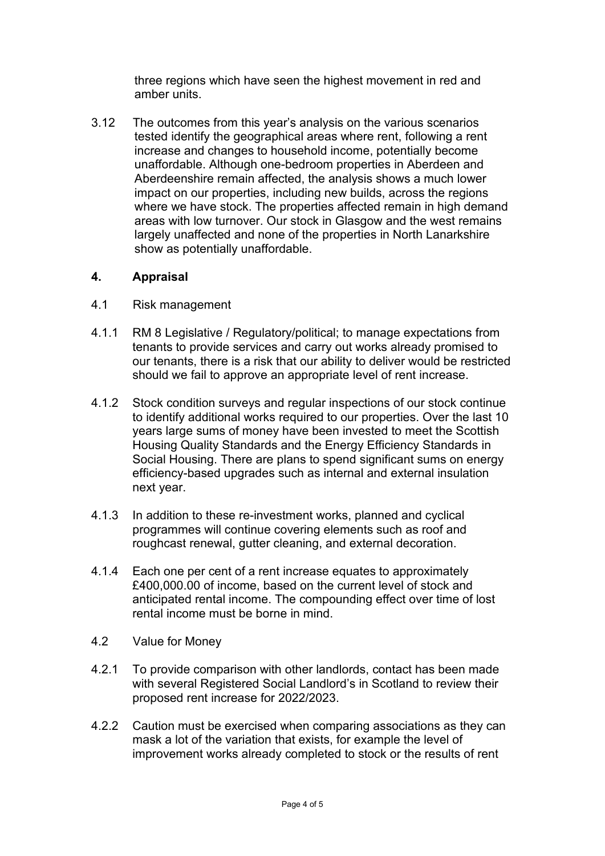three regions which have seen the highest movement in red and amber units.

3.12 The outcomes from this year's analysis on the various scenarios tested identify the geographical areas where rent, following a rent increase and changes to household income, potentially become unaffordable. Although one-bedroom properties in Aberdeen and Aberdeenshire remain affected, the analysis shows a much lower impact on our properties, including new builds, across the regions where we have stock. The properties affected remain in high demand areas with low turnover. Our stock in Glasgow and the west remains largely unaffected and none of the properties in North Lanarkshire show as potentially unaffordable.

### **4. Appraisal**

- 4.1 Risk management
- 4.1.1 RM 8 Legislative / Regulatory/political; to manage expectations from tenants to provide services and carry out works already promised to our tenants, there is a risk that our ability to deliver would be restricted should we fail to approve an appropriate level of rent increase.
- 4.1.2 Stock condition surveys and regular inspections of our stock continue to identify additional works required to our properties. Over the last 10 years large sums of money have been invested to meet the Scottish Housing Quality Standards and the Energy Efficiency Standards in Social Housing. There are plans to spend significant sums on energy efficiency-based upgrades such as internal and external insulation next year.
- 4.1.3 In addition to these re-investment works, planned and cyclical programmes will continue covering elements such as roof and roughcast renewal, gutter cleaning, and external decoration.
- 4.1.4 Each one per cent of a rent increase equates to approximately £400,000.00 of income, based on the current level of stock and anticipated rental income. The compounding effect over time of lost rental income must be borne in mind.
- 4.2 Value for Money
- 4.2.1 To provide comparison with other landlords, contact has been made with several Registered Social Landlord's in Scotland to review their proposed rent increase for 2022/2023.
- 4.2.2 Caution must be exercised when comparing associations as they can mask a lot of the variation that exists, for example the level of improvement works already completed to stock or the results of rent